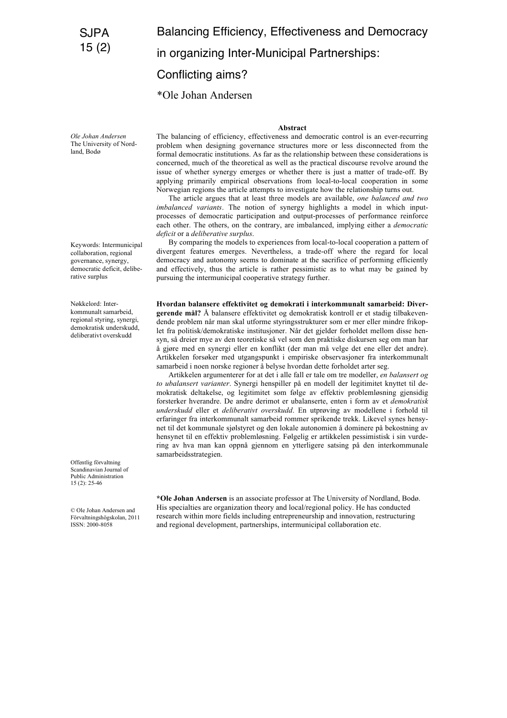# Balancing Efficiency, Effectiveness and Democracy

in organizing Inter-Municipal Partnerships:

# Conflicting aims?

\*Ole Johan Andersen

#### **Abstract**

*Ole Johan Andersen* The University of Nordland, Bodø

Keywords: Intermunicipal collaboration, regional governance, synergy, democratic deficit, deliberative surplus

Nøkkelord: Interkommunalt samarbeid, regional styring, synergi, demokratisk underskudd, deliberativt overskudd

Offentlig förvaltning Scandinavian Journal of Public Administration 15 (2): 25-46

© Ole Johan Andersen and Förvaltningshögskolan, 2011 ISSN: 2000-8058

The balancing of efficiency, effectiveness and democratic control is an ever-recurring problem when designing governance structures more or less disconnected from the formal democratic institutions. As far as the relationship between these considerations is concerned, much of the theoretical as well as the practical discourse revolve around the issue of whether synergy emerges or whether there is just a matter of trade-off. By applying primarily empirical observations from local-to-local cooperation in some Norwegian regions the article attempts to investigate how the relationship turns out.

The article argues that at least three models are available, *one balanced and two imbalanced variants*. The notion of synergy highlights a model in which inputprocesses of democratic participation and output-processes of performance reinforce each other. The others, on the contrary, are imbalanced, implying either a *democratic deficit* or a *deliberative surplus*.

By comparing the models to experiences from local-to-local cooperation a pattern of divergent features emerges. Nevertheless, a trade-off where the regard for local democracy and autonomy seems to dominate at the sacrifice of performing efficiently and effectively, thus the article is rather pessimistic as to what may be gained by pursuing the intermunicipal cooperative strategy further.

**Hvordan balansere effektivitet og demokrati i interkommunalt samarbeid: Divergerende mål?** Å balansere effektivitet og demokratisk kontroll er et stadig tilbakevendende problem når man skal utforme styringsstrukturer som er mer eller mindre frikoplet fra politisk/demokratiske institusjoner. Når det gjelder forholdet mellom disse hensyn, så dreier mye av den teoretiske så vel som den praktiske diskursen seg om man har å gjøre med en synergi eller en konflikt (der man må velge det ene eller det andre). Artikkelen forsøker med utgangspunkt i empiriske observasjoner fra interkommunalt samarbeid i noen norske regioner å belyse hvordan dette forholdet arter seg.

Artikkelen argumenterer for at det i alle fall er tale om tre modeller, *en balansert og to ubalansert varianter*. Synergi henspiller på en modell der legitimitet knyttet til demokratisk deltakelse, og legitimitet som følge av effektiv problemløsning gjensidig forsterker hverandre. De andre derimot er ubalanserte, enten i form av et *demokratisk underskudd* eller et *deliberativt overskudd*. En utprøving av modellene i forhold til erfaringer fra interkommunalt samarbeid rommer sprikende trekk. Likevel synes hensynet til det kommunale sjølstyret og den lokale autonomien å dominere på bekostning av hensynet til en effektiv problemløsning. Følgelig er artikkelen pessimistisk i sin vurdering av hva man kan oppnå gjennom en ytterligere satsing på den interkommunale samarbeidsstrategien.

**\*Ole Johan Andersen** is an associate professor at The University of Nordland, Bodø. His specialties are organization theory and local/regional policy. He has conducted research within more fields including entrepreneurship and innovation, restructuring and regional development, partnerships, intermunicipal collaboration etc.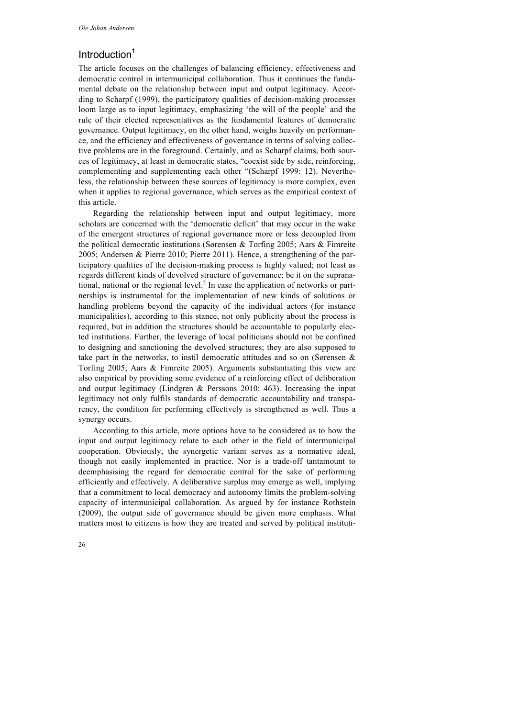## Introduction<sup>1</sup>

The article focuses on the challenges of balancing efficiency, effectiveness and democratic control in intermunicipal collaboration. Thus it continues the fundamental debate on the relationship between input and output legitimacy. According to Scharpf (1999), the participatory qualities of decision-making processes loom large as to input legitimacy, emphasizing 'the will of the people' and the rule of their elected representatives as the fundamental features of democratic governance. Output legitimacy, on the other hand, weighs heavily on performance, and the efficiency and effectiveness of governance in terms of solving collective problems are in the foreground. Certainly, and as Scharpf claims, both sources of legitimacy, at least in democratic states, "coexist side by side, reinforcing, complementing and supplementing each other "(Scharpf 1999: 12). Nevertheless, the relationship between these sources of legitimacy is more complex, even when it applies to regional governance, which serves as the empirical context of this article.

Regarding the relationship between input and output legitimacy, more scholars are concerned with the 'democratic deficit' that may occur in the wake of the emergent structures of regional governance more or less decoupled from the political democratic institutions (Sørensen & Torfing 2005; Aars & Fimreite 2005; Andersen & Pierre 2010; Pierre 2011). Hence, a strengthening of the participatory qualities of the decision-making process is highly valued; not least as regards different kinds of devolved structure of governance; be it on the supranational, national or the regional level. <sup>2</sup> In case the application of networks or partnerships is instrumental for the implementation of new kinds of solutions or handling problems beyond the capacity of the individual actors (for instance municipalities), according to this stance, not only publicity about the process is required, but in addition the structures should be accountable to popularly elected institutions. Further, the leverage of local politicians should not be confined to designing and sanctioning the devolved structures; they are also supposed to take part in the networks, to instil democratic attitudes and so on (Sørensen & Torfing 2005; Aars & Fimreite 2005). Arguments substantiating this view are also empirical by providing some evidence of a reinforcing effect of deliberation and output legitimacy (Lindgren  $&$  Perssons 2010: 463). Increasing the input legitimacy not only fulfils standards of democratic accountability and transparency, the condition for performing effectively is strengthened as well. Thus a synergy occurs.

According to this article, more options have to be considered as to how the input and output legitimacy relate to each other in the field of intermunicipal cooperation. Obviously, the synergetic variant serves as a normative ideal, though not easily implemented in practice. Nor is a trade-off tantamount to deemphasising the regard for democratic control for the sake of performing efficiently and effectively. A deliberative surplus may emerge as well, implying that a commitment to local democracy and autonomy limits the problem-solving capacity of intermunicipal collaboration. As argued by for instance Rothstein (2009), the output side of governance should be given more emphasis. What matters most to citizens is how they are treated and served by political instituti-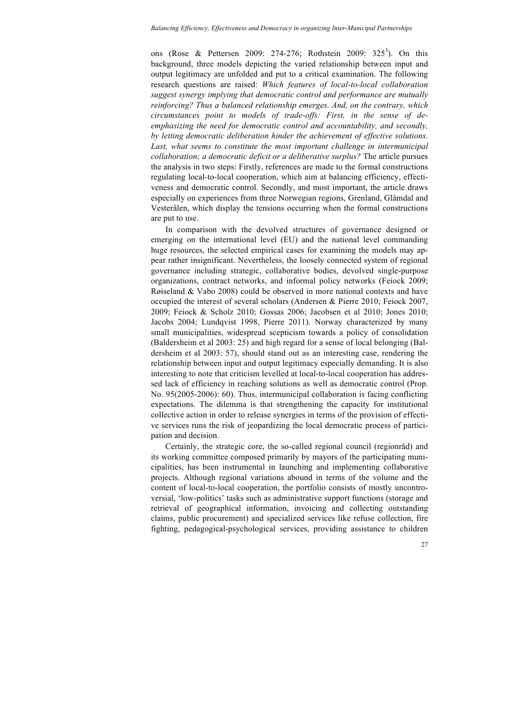ons (Rose & Pettersen 2009: 274-276; Rothstein 2009: 325<sup>3</sup>). On this background, three models depicting the varied relationship between input and output legitimacy are unfolded and put to a critical examination. The following research questions are raised: *Which features of local-to-local collaboration suggest synergy implying that democratic control and performance are mutually reinforcing? Thus a balanced relationship emerges. And, on the contrary, which circumstances point to models of trade-offs: First, in the sense of deemphasizing the need for democratic control and accountability, and secondly, by letting democratic deliberation hinder the achievement of effective solutions.* Last, what seems to constitute the most important challenge in intermunicipal *collaboration; a democratic deficit or a deliberative surplus?* The article pursues the analysis in two steps: Firstly, references are made to the formal constructions regulating local-to-local cooperation, which aim at balancing efficiency, effectiveness and democratic control. Secondly, and most important, the article draws especially on experiences from three Norwegian regions, Grenland, Glåmdal and Vesterålen, which display the tensions occurring when the formal constructions are put to use.

In comparison with the devolved structures of governance designed or emerging on the international level (EU) and the national level commanding huge resources, the selected empirical cases for examining the models may appear rather insignificant. Nevertheless, the loosely connected system of regional governance including strategic, collaborative bodies, devolved single-purpose organizations, contract networks, and informal policy networks (Feiock 2009; Røiseland & Vabo 2008) could be observed in more national contexts and have occupied the interest of several scholars (Andersen & Pierre 2010; Feiock 2007, 2009; Feiock & Scholz 2010; Gossas 2006; Jacobsen et al 2010; Jones 2010; Jacobs 2004; Lundqvist 1998, Pierre 2011). Norway characterized by many small municipalities, widespread scepticism towards a policy of consolidation (Baldersheim et al 2003: 25) and high regard for a sense of local belonging (Baldersheim et al 2003: 57), should stand out as an interesting case, rendering the relationship between input and output legitimacy especially demanding. It is also interesting to note that criticism levelled at local-to-local cooperation has addressed lack of efficiency in reaching solutions as well as democratic control (Prop. No. 95(2005-2006): 60). Thus, intermunicipal collaboration is facing conflicting expectations. The dilemma is that strengthening the capacity for institutional collective action in order to release synergies in terms of the provision of effective services runs the risk of jeopardizing the local democratic process of participation and decision.

Certainly, the strategic core, the so-called regional council (regionråd) and its working committee composed primarily by mayors of the participating municipalities, has been instrumental in launching and implementing collaborative projects. Although regional variations abound in terms of the volume and the content of local-to-local cooperation, the portfolio consists of mostly uncontroversial, 'low-politics' tasks such as administrative support functions (storage and retrieval of geographical information, invoicing and collecting outstanding claims, public procurement) and specialized services like refuse collection, fire fighting, pedagogical-psychological services, providing assistance to children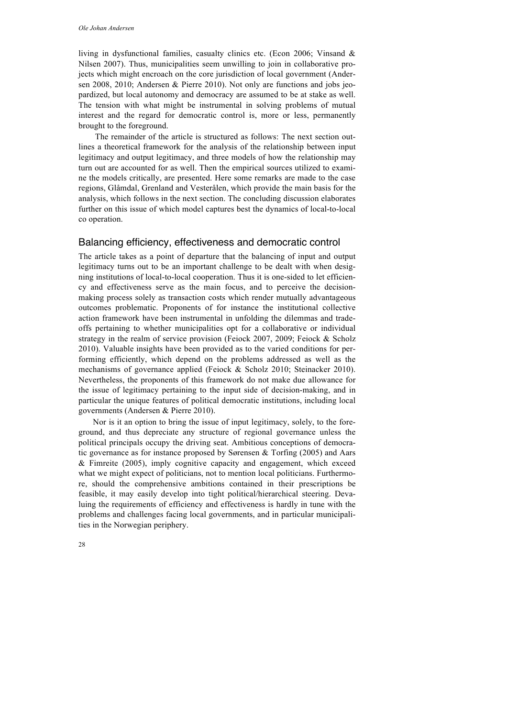living in dysfunctional families, casualty clinics etc. (Econ 2006; Vinsand & Nilsen 2007). Thus, municipalities seem unwilling to join in collaborative projects which might encroach on the core jurisdiction of local government (Andersen 2008, 2010; Andersen & Pierre 2010). Not only are functions and jobs jeopardized, but local autonomy and democracy are assumed to be at stake as well. The tension with what might be instrumental in solving problems of mutual interest and the regard for democratic control is, more or less, permanently brought to the foreground.

The remainder of the article is structured as follows: The next section outlines a theoretical framework for the analysis of the relationship between input legitimacy and output legitimacy, and three models of how the relationship may turn out are accounted for as well. Then the empirical sources utilized to examine the models critically, are presented. Here some remarks are made to the case regions, Glåmdal, Grenland and Vesterålen, which provide the main basis for the analysis, which follows in the next section. The concluding discussion elaborates further on this issue of which model captures best the dynamics of local-to-local co operation.

#### Balancing efficiency, effectiveness and democratic control

The article takes as a point of departure that the balancing of input and output legitimacy turns out to be an important challenge to be dealt with when designing institutions of local-to-local cooperation. Thus it is one-sided to let efficiency and effectiveness serve as the main focus, and to perceive the decisionmaking process solely as transaction costs which render mutually advantageous outcomes problematic. Proponents of for instance the institutional collective action framework have been instrumental in unfolding the dilemmas and tradeoffs pertaining to whether municipalities opt for a collaborative or individual strategy in the realm of service provision (Feiock 2007, 2009; Feiock & Scholz 2010). Valuable insights have been provided as to the varied conditions for performing efficiently, which depend on the problems addressed as well as the mechanisms of governance applied (Feiock & Scholz 2010; Steinacker 2010). Nevertheless, the proponents of this framework do not make due allowance for the issue of legitimacy pertaining to the input side of decision-making, and in particular the unique features of political democratic institutions, including local governments (Andersen & Pierre 2010).

Nor is it an option to bring the issue of input legitimacy, solely, to the foreground, and thus depreciate any structure of regional governance unless the political principals occupy the driving seat. Ambitious conceptions of democratic governance as for instance proposed by Sørensen & Torfing (2005) and Aars & Fimreite (2005), imply cognitive capacity and engagement, which exceed what we might expect of politicians, not to mention local politicians. Furthermore, should the comprehensive ambitions contained in their prescriptions be feasible, it may easily develop into tight political/hierarchical steering. Devaluing the requirements of efficiency and effectiveness is hardly in tune with the problems and challenges facing local governments, and in particular municipalities in the Norwegian periphery.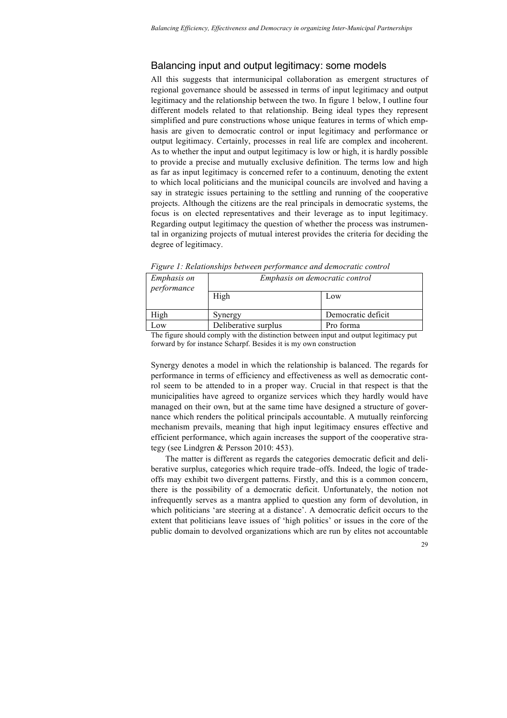# Balancing input and output legitimacy: some models

All this suggests that intermunicipal collaboration as emergent structures of regional governance should be assessed in terms of input legitimacy and output legitimacy and the relationship between the two. In figure 1 below, I outline four different models related to that relationship. Being ideal types they represent simplified and pure constructions whose unique features in terms of which emphasis are given to democratic control or input legitimacy and performance or output legitimacy. Certainly, processes in real life are complex and incoherent. As to whether the input and output legitimacy is low or high, it is hardly possible to provide a precise and mutually exclusive definition. The terms low and high as far as input legitimacy is concerned refer to a continuum, denoting the extent to which local politicians and the municipal councils are involved and having a say in strategic issues pertaining to the settling and running of the cooperative projects. Although the citizens are the real principals in democratic systems, the focus is on elected representatives and their leverage as to input legitimacy. Regarding output legitimacy the question of whether the process was instrumental in organizing projects of mutual interest provides the criteria for deciding the degree of legitimacy.

| <i>Emphasis on</i><br>performance | Emphasis on democratic control |                    |
|-----------------------------------|--------------------------------|--------------------|
|                                   | High                           | Low                |
| High                              | Synergy                        | Democratic deficit |
| Low                               | Deliberative surplus           | Pro forma          |

*Figure 1: Relationships between performance and democratic control*

The figure should comply with the distinction between input and output legitimacy put forward by for instance Scharpf. Besides it is my own construction

Synergy denotes a model in which the relationship is balanced. The regards for performance in terms of efficiency and effectiveness as well as democratic control seem to be attended to in a proper way. Crucial in that respect is that the municipalities have agreed to organize services which they hardly would have managed on their own, but at the same time have designed a structure of governance which renders the political principals accountable. A mutually reinforcing mechanism prevails, meaning that high input legitimacy ensures effective and efficient performance, which again increases the support of the cooperative strategy (see Lindgren & Persson 2010: 453).

The matter is different as regards the categories democratic deficit and deliberative surplus, categories which require trade–offs. Indeed, the logic of tradeoffs may exhibit two divergent patterns. Firstly, and this is a common concern, there is the possibility of a democratic deficit. Unfortunately, the notion not infrequently serves as a mantra applied to question any form of devolution, in which politicians 'are steering at a distance'. A democratic deficit occurs to the extent that politicians leave issues of 'high politics' or issues in the core of the public domain to devolved organizations which are run by elites not accountable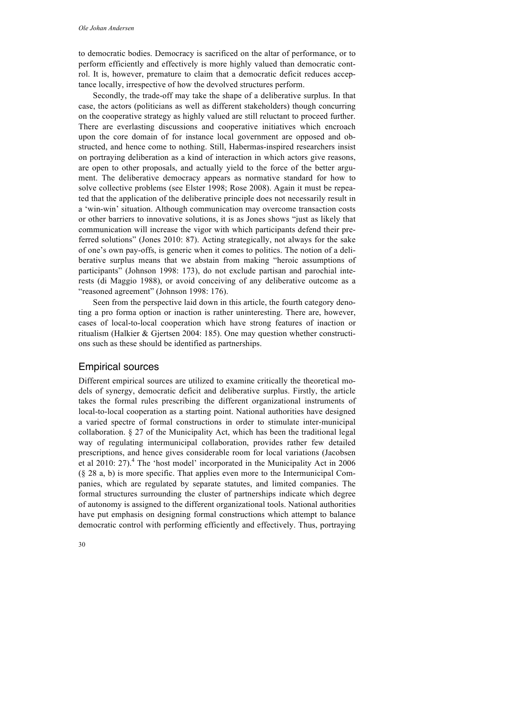to democratic bodies. Democracy is sacrificed on the altar of performance, or to perform efficiently and effectively is more highly valued than democratic control. It is, however, premature to claim that a democratic deficit reduces acceptance locally, irrespective of how the devolved structures perform.

Secondly, the trade-off may take the shape of a deliberative surplus. In that case, the actors (politicians as well as different stakeholders) though concurring on the cooperative strategy as highly valued are still reluctant to proceed further. There are everlasting discussions and cooperative initiatives which encroach upon the core domain of for instance local government are opposed and obstructed, and hence come to nothing. Still, Habermas-inspired researchers insist on portraying deliberation as a kind of interaction in which actors give reasons, are open to other proposals, and actually yield to the force of the better argument. The deliberative democracy appears as normative standard for how to solve collective problems (see Elster 1998; Rose 2008). Again it must be repeated that the application of the deliberative principle does not necessarily result in a 'win-win' situation. Although communication may overcome transaction costs or other barriers to innovative solutions, it is as Jones shows "just as likely that communication will increase the vigor with which participants defend their preferred solutions" (Jones 2010: 87). Acting strategically, not always for the sake of one's own pay-offs, is generic when it comes to politics. The notion of a deliberative surplus means that we abstain from making "heroic assumptions of participants" (Johnson 1998: 173), do not exclude partisan and parochial interests (di Maggio 1988), or avoid conceiving of any deliberative outcome as a "reasoned agreement" (Johnson 1998: 176).

Seen from the perspective laid down in this article, the fourth category denoting a pro forma option or inaction is rather uninteresting. There are, however, cases of local-to-local cooperation which have strong features of inaction or ritualism (Halkier & Gjertsen 2004: 185). One may question whether constructions such as these should be identified as partnerships.

### Empirical sources

Different empirical sources are utilized to examine critically the theoretical models of synergy, democratic deficit and deliberative surplus. Firstly, the article takes the formal rules prescribing the different organizational instruments of local-to-local cooperation as a starting point. National authorities have designed a varied spectre of formal constructions in order to stimulate inter-municipal collaboration. § 27 of the Municipality Act, which has been the traditional legal way of regulating intermunicipal collaboration, provides rather few detailed prescriptions, and hence gives considerable room for local variations (Jacobsen et al 2010: 27).<sup>4</sup> The 'host model' incorporated in the Municipality Act in 2006 (§ 28 a, b) is more specific. That applies even more to the Intermunicipal Companies, which are regulated by separate statutes, and limited companies. The formal structures surrounding the cluster of partnerships indicate which degree of autonomy is assigned to the different organizational tools. National authorities have put emphasis on designing formal constructions which attempt to balance democratic control with performing efficiently and effectively. Thus, portraying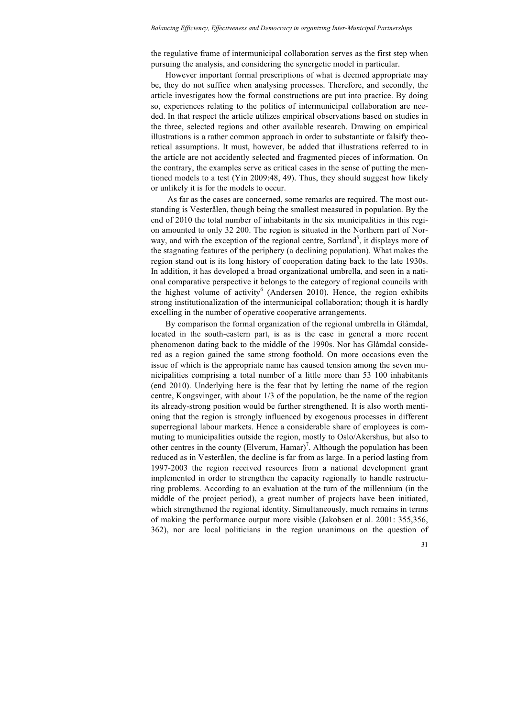the regulative frame of intermunicipal collaboration serves as the first step when pursuing the analysis, and considering the synergetic model in particular.

However important formal prescriptions of what is deemed appropriate may be, they do not suffice when analysing processes. Therefore, and secondly, the article investigates how the formal constructions are put into practice. By doing so, experiences relating to the politics of intermunicipal collaboration are needed. In that respect the article utilizes empirical observations based on studies in the three, selected regions and other available research. Drawing on empirical illustrations is a rather common approach in order to substantiate or falsify theoretical assumptions. It must, however, be added that illustrations referred to in the article are not accidently selected and fragmented pieces of information. On the contrary, the examples serve as critical cases in the sense of putting the mentioned models to a test (Yin 2009:48, 49). Thus, they should suggest how likely or unlikely it is for the models to occur.

As far as the cases are concerned, some remarks are required. The most outstanding is Vesterålen, though being the smallest measured in population. By the end of 2010 the total number of inhabitants in the six municipalities in this region amounted to only 32 200. The region is situated in the Northern part of Norway, and with the exception of the regional centre, Sortland<sup>5</sup>, it displays more of the stagnating features of the periphery (a declining population). What makes the region stand out is its long history of cooperation dating back to the late 1930s. In addition, it has developed a broad organizational umbrella, and seen in a national comparative perspective it belongs to the category of regional councils with the highest volume of activity<sup>6</sup> (Andersen 2010). Hence, the region exhibits strong institutionalization of the intermunicipal collaboration; though it is hardly excelling in the number of operative cooperative arrangements.

By comparison the formal organization of the regional umbrella in Glåmdal, located in the south-eastern part, is as is the case in general a more recent phenomenon dating back to the middle of the 1990s. Nor has Glåmdal considered as a region gained the same strong foothold. On more occasions even the issue of which is the appropriate name has caused tension among the seven municipalities comprising a total number of a little more than 53 100 inhabitants (end 2010). Underlying here is the fear that by letting the name of the region centre, Kongsvinger, with about 1/3 of the population, be the name of the region its already-strong position would be further strengthened. It is also worth mentioning that the region is strongly influenced by exogenous processes in different superregional labour markets. Hence a considerable share of employees is commuting to municipalities outside the region, mostly to Oslo/Akershus, but also to other centres in the county (Elverum, Hamar)<sup>7</sup>. Although the population has been reduced as in Vesterålen, the decline is far from as large. In a period lasting from 1997-2003 the region received resources from a national development grant implemented in order to strengthen the capacity regionally to handle restructuring problems. According to an evaluation at the turn of the millennium (in the middle of the project period), a great number of projects have been initiated, which strengthened the regional identity. Simultaneously, much remains in terms of making the performance output more visible (Jakobsen et al. 2001: 355,356, 362), nor are local politicians in the region unanimous on the question of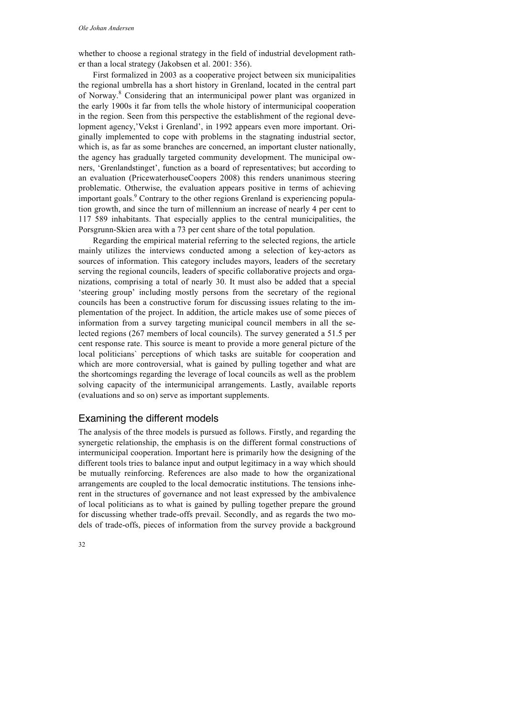whether to choose a regional strategy in the field of industrial development rather than a local strategy (Jakobsen et al. 2001: 356).

First formalized in 2003 as a cooperative project between six municipalities the regional umbrella has a short history in Grenland, located in the central part of Norway. <sup>8</sup> Considering that an intermunicipal power plant was organized in the early 1900s it far from tells the whole history of intermunicipal cooperation in the region. Seen from this perspective the establishment of the regional development agency,'Vekst i Grenland', in 1992 appears even more important. Originally implemented to cope with problems in the stagnating industrial sector, which is, as far as some branches are concerned, an important cluster nationally, the agency has gradually targeted community development. The municipal owners, 'Grenlandstinget', function as a board of representatives; but according to an evaluation (PricewaterhouseCoopers 2008) this renders unanimous steering problematic. Otherwise, the evaluation appears positive in terms of achieving important goals.<sup>9</sup> Contrary to the other regions Grenland is experiencing population growth, and since the turn of millennium an increase of nearly 4 per cent to 117 589 inhabitants. That especially applies to the central municipalities, the Porsgrunn-Skien area with a 73 per cent share of the total population.

Regarding the empirical material referring to the selected regions, the article mainly utilizes the interviews conducted among a selection of key-actors as sources of information. This category includes mayors, leaders of the secretary serving the regional councils, leaders of specific collaborative projects and organizations, comprising a total of nearly 30. It must also be added that a special 'steering group' including mostly persons from the secretary of the regional councils has been a constructive forum for discussing issues relating to the implementation of the project. In addition, the article makes use of some pieces of information from a survey targeting municipal council members in all the selected regions (267 members of local councils). The survey generated a 51.5 per cent response rate. This source is meant to provide a more general picture of the local politicians` perceptions of which tasks are suitable for cooperation and which are more controversial, what is gained by pulling together and what are the shortcomings regarding the leverage of local councils as well as the problem solving capacity of the intermunicipal arrangements. Lastly, available reports (evaluations and so on) serve as important supplements.

#### Examining the different models

The analysis of the three models is pursued as follows. Firstly, and regarding the synergetic relationship, the emphasis is on the different formal constructions of intermunicipal cooperation. Important here is primarily how the designing of the different tools tries to balance input and output legitimacy in a way which should be mutually reinforcing. References are also made to how the organizational arrangements are coupled to the local democratic institutions. The tensions inherent in the structures of governance and not least expressed by the ambivalence of local politicians as to what is gained by pulling together prepare the ground for discussing whether trade-offs prevail. Secondly, and as regards the two models of trade-offs, pieces of information from the survey provide a background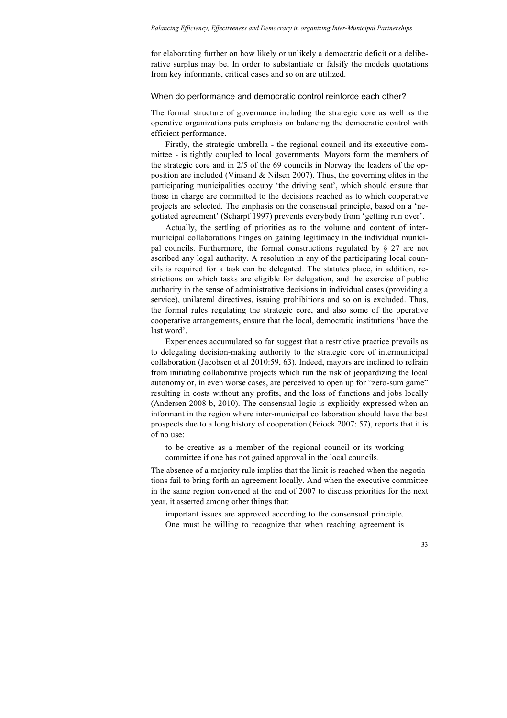for elaborating further on how likely or unlikely a democratic deficit or a deliberative surplus may be. In order to substantiate or falsify the models quotations from key informants, critical cases and so on are utilized.

#### When do performance and democratic control reinforce each other?

The formal structure of governance including the strategic core as well as the operative organizations puts emphasis on balancing the democratic control with efficient performance.

Firstly, the strategic umbrella - the regional council and its executive committee - is tightly coupled to local governments. Mayors form the members of the strategic core and in 2/5 of the 69 councils in Norway the leaders of the opposition are included (Vinsand & Nilsen 2007). Thus, the governing elites in the participating municipalities occupy 'the driving seat', which should ensure that those in charge are committed to the decisions reached as to which cooperative projects are selected. The emphasis on the consensual principle, based on a 'negotiated agreement' (Scharpf 1997) prevents everybody from 'getting run over'.

Actually, the settling of priorities as to the volume and content of intermunicipal collaborations hinges on gaining legitimacy in the individual municipal councils. Furthermore, the formal constructions regulated by § 27 are not ascribed any legal authority. A resolution in any of the participating local councils is required for a task can be delegated. The statutes place, in addition, restrictions on which tasks are eligible for delegation, and the exercise of public authority in the sense of administrative decisions in individual cases (providing a service), unilateral directives, issuing prohibitions and so on is excluded. Thus, the formal rules regulating the strategic core, and also some of the operative cooperative arrangements, ensure that the local, democratic institutions 'have the last word'.

Experiences accumulated so far suggest that a restrictive practice prevails as to delegating decision-making authority to the strategic core of intermunicipal collaboration (Jacobsen et al 2010:59, 63). Indeed, mayors are inclined to refrain from initiating collaborative projects which run the risk of jeopardizing the local autonomy or, in even worse cases, are perceived to open up for "zero-sum game" resulting in costs without any profits, and the loss of functions and jobs locally (Andersen 2008 b, 2010). The consensual logic is explicitly expressed when an informant in the region where inter-municipal collaboration should have the best prospects due to a long history of cooperation (Feiock 2007: 57), reports that it is of no use:

to be creative as a member of the regional council or its working committee if one has not gained approval in the local councils.

The absence of a majority rule implies that the limit is reached when the negotiations fail to bring forth an agreement locally. And when the executive committee in the same region convened at the end of 2007 to discuss priorities for the next year, it asserted among other things that:

important issues are approved according to the consensual principle. One must be willing to recognize that when reaching agreement is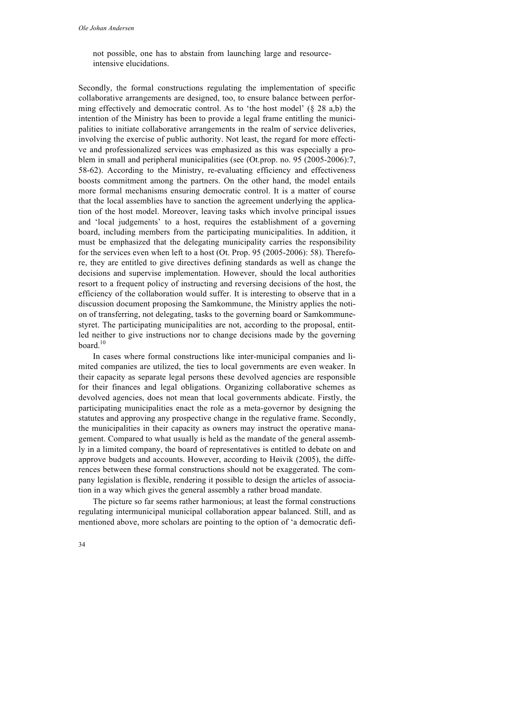not possible, one has to abstain from launching large and resourceintensive elucidations.

Secondly, the formal constructions regulating the implementation of specific collaborative arrangements are designed, too, to ensure balance between performing effectively and democratic control. As to 'the host model' (§ 28 a,b) the intention of the Ministry has been to provide a legal frame entitling the municipalities to initiate collaborative arrangements in the realm of service deliveries, involving the exercise of public authority. Not least, the regard for more effective and professionalized services was emphasized as this was especially a problem in small and peripheral municipalities (see (Ot.prop. no. 95 (2005-2006):7, 58-62). According to the Ministry, re-evaluating efficiency and effectiveness boosts commitment among the partners. On the other hand, the model entails more formal mechanisms ensuring democratic control. It is a matter of course that the local assemblies have to sanction the agreement underlying the application of the host model. Moreover, leaving tasks which involve principal issues and 'local judgements' to a host, requires the establishment of a governing board, including members from the participating municipalities. In addition, it must be emphasized that the delegating municipality carries the responsibility for the services even when left to a host (Ot. Prop. 95 (2005-2006): 58). Therefore, they are entitled to give directives defining standards as well as change the decisions and supervise implementation. However, should the local authorities resort to a frequent policy of instructing and reversing decisions of the host, the efficiency of the collaboration would suffer. It is interesting to observe that in a discussion document proposing the Samkommune, the Ministry applies the notion of transferring, not delegating, tasks to the governing board or Samkommunestyret. The participating municipalities are not, according to the proposal, entitled neither to give instructions nor to change decisions made by the governing board. 10

In cases where formal constructions like inter-municipal companies and limited companies are utilized, the ties to local governments are even weaker. In their capacity as separate legal persons these devolved agencies are responsible for their finances and legal obligations. Organizing collaborative schemes as devolved agencies, does not mean that local governments abdicate. Firstly, the participating municipalities enact the role as a meta-governor by designing the statutes and approving any prospective change in the regulative frame. Secondly, the municipalities in their capacity as owners may instruct the operative management. Compared to what usually is held as the mandate of the general assembly in a limited company, the board of representatives is entitled to debate on and approve budgets and accounts. However, according to Høivik (2005), the differences between these formal constructions should not be exaggerated. The company legislation is flexible, rendering it possible to design the articles of association in a way which gives the general assembly a rather broad mandate.

The picture so far seems rather harmonious; at least the formal constructions regulating intermunicipal municipal collaboration appear balanced. Still, and as mentioned above, more scholars are pointing to the option of 'a democratic defi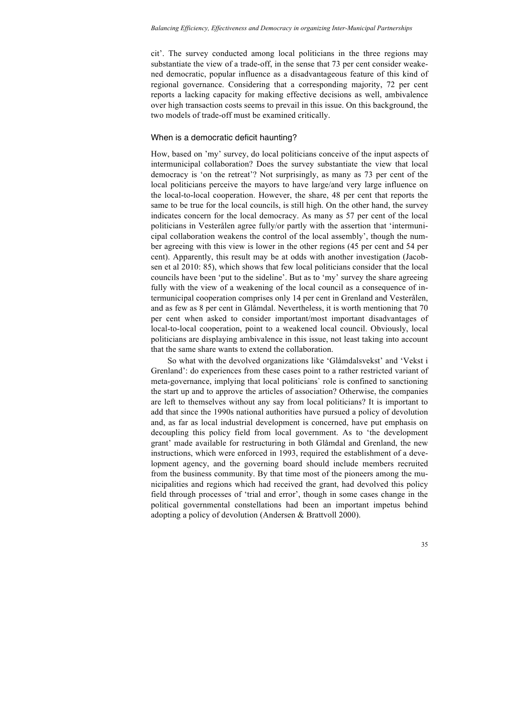cit'. The survey conducted among local politicians in the three regions may substantiate the view of a trade-off, in the sense that 73 per cent consider weakened democratic, popular influence as a disadvantageous feature of this kind of regional governance. Considering that a corresponding majority, 72 per cent reports a lacking capacity for making effective decisions as well, ambivalence over high transaction costs seems to prevail in this issue. On this background, the two models of trade-off must be examined critically.

#### When is a democratic deficit haunting?

How, based on 'my' survey, do local politicians conceive of the input aspects of intermunicipal collaboration? Does the survey substantiate the view that local democracy is 'on the retreat'? Not surprisingly, as many as 73 per cent of the local politicians perceive the mayors to have large/and very large influence on the local-to-local cooperation. However, the share, 48 per cent that reports the same to be true for the local councils, is still high. On the other hand, the survey indicates concern for the local democracy. As many as 57 per cent of the local politicians in Vesterålen agree fully/or partly with the assertion that 'intermunicipal collaboration weakens the control of the local assembly', though the number agreeing with this view is lower in the other regions (45 per cent and 54 per cent). Apparently, this result may be at odds with another investigation (Jacobsen et al 2010: 85), which shows that few local politicians consider that the local councils have been 'put to the sideline'. But as to 'my' survey the share agreeing fully with the view of a weakening of the local council as a consequence of intermunicipal cooperation comprises only 14 per cent in Grenland and Vesterålen, and as few as 8 per cent in Glåmdal. Nevertheless, it is worth mentioning that 70 per cent when asked to consider important/most important disadvantages of local-to-local cooperation, point to a weakened local council. Obviously, local politicians are displaying ambivalence in this issue, not least taking into account that the same share wants to extend the collaboration.

So what with the devolved organizations like 'Glåmdalsvekst' and 'Vekst i Grenland': do experiences from these cases point to a rather restricted variant of meta-governance, implying that local politicians` role is confined to sanctioning the start up and to approve the articles of association? Otherwise, the companies are left to themselves without any say from local politicians? It is important to add that since the 1990s national authorities have pursued a policy of devolution and, as far as local industrial development is concerned, have put emphasis on decoupling this policy field from local government. As to 'the development grant' made available for restructuring in both Glåmdal and Grenland, the new instructions, which were enforced in 1993, required the establishment of a development agency, and the governing board should include members recruited from the business community. By that time most of the pioneers among the municipalities and regions which had received the grant, had devolved this policy field through processes of 'trial and error', though in some cases change in the political governmental constellations had been an important impetus behind adopting a policy of devolution (Andersen & Brattvoll 2000).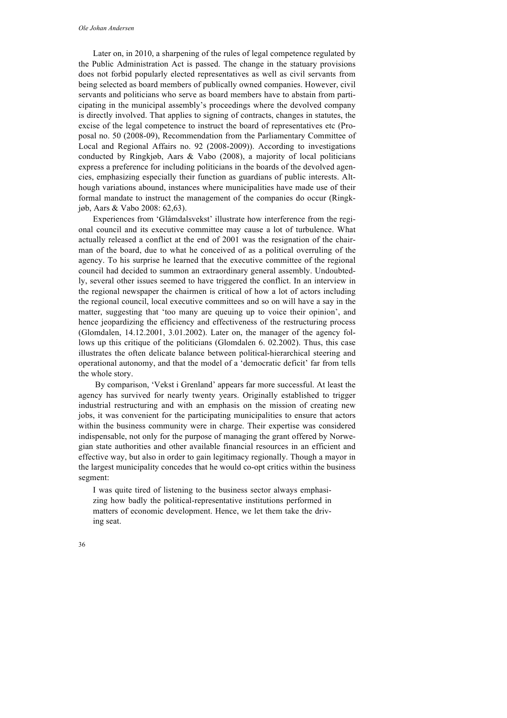Later on, in 2010, a sharpening of the rules of legal competence regulated by the Public Administration Act is passed. The change in the statuary provisions does not forbid popularly elected representatives as well as civil servants from being selected as board members of publically owned companies. However, civil servants and politicians who serve as board members have to abstain from participating in the municipal assembly's proceedings where the devolved company is directly involved. That applies to signing of contracts, changes in statutes, the excise of the legal competence to instruct the board of representatives etc (Proposal no. 50 (2008-09), Recommendation from the Parliamentary Committee of Local and Regional Affairs no. 92 (2008-2009)). According to investigations conducted by Ringkjøb, Aars & Vabo (2008), a majority of local politicians express a preference for including politicians in the boards of the devolved agencies, emphasizing especially their function as guardians of public interests. Although variations abound, instances where municipalities have made use of their formal mandate to instruct the management of the companies do occur (Ringkjøb, Aars & Vabo 2008: 62,63).

Experiences from 'Glåmdalsvekst' illustrate how interference from the regional council and its executive committee may cause a lot of turbulence. What actually released a conflict at the end of 2001 was the resignation of the chairman of the board, due to what he conceived of as a political overruling of the agency. To his surprise he learned that the executive committee of the regional council had decided to summon an extraordinary general assembly. Undoubtedly, several other issues seemed to have triggered the conflict. In an interview in the regional newspaper the chairmen is critical of how a lot of actors including the regional council, local executive committees and so on will have a say in the matter, suggesting that 'too many are queuing up to voice their opinion', and hence jeopardizing the efficiency and effectiveness of the restructuring process (Glomdalen, 14.12.2001, 3.01.2002). Later on, the manager of the agency follows up this critique of the politicians (Glomdalen 6. 02.2002). Thus, this case illustrates the often delicate balance between political-hierarchical steering and operational autonomy, and that the model of a 'democratic deficit' far from tells the whole story.

By comparison, 'Vekst i Grenland' appears far more successful. At least the agency has survived for nearly twenty years. Originally established to trigger industrial restructuring and with an emphasis on the mission of creating new jobs, it was convenient for the participating municipalities to ensure that actors within the business community were in charge. Their expertise was considered indispensable, not only for the purpose of managing the grant offered by Norwegian state authorities and other available financial resources in an efficient and effective way, but also in order to gain legitimacy regionally. Though a mayor in the largest municipality concedes that he would co-opt critics within the business segment:

I was quite tired of listening to the business sector always emphasizing how badly the political-representative institutions performed in matters of economic development. Hence, we let them take the driving seat.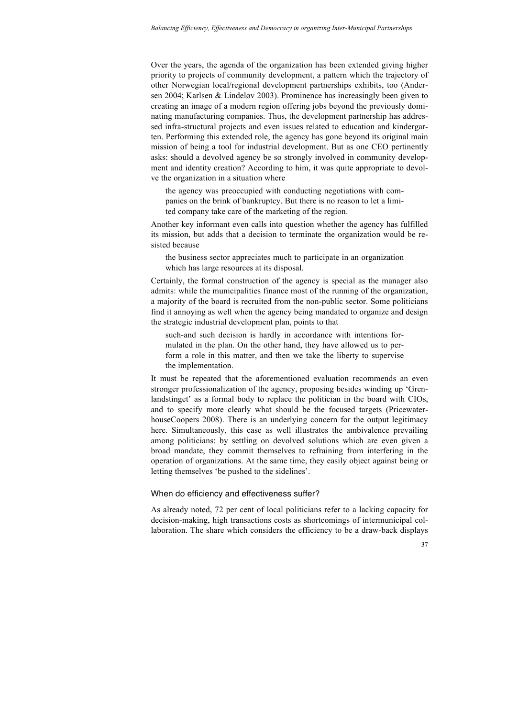Over the years, the agenda of the organization has been extended giving higher priority to projects of community development, a pattern which the trajectory of other Norwegian local/regional development partnerships exhibits, too (Andersen 2004; Karlsen & Lindeløv 2003). Prominence has increasingly been given to creating an image of a modern region offering jobs beyond the previously dominating manufacturing companies. Thus, the development partnership has addressed infra-structural projects and even issues related to education and kindergarten. Performing this extended role, the agency has gone beyond its original main mission of being a tool for industrial development. But as one CEO pertinently asks: should a devolved agency be so strongly involved in community development and identity creation? According to him, it was quite appropriate to devolve the organization in a situation where

the agency was preoccupied with conducting negotiations with companies on the brink of bankruptcy. But there is no reason to let a limited company take care of the marketing of the region.

Another key informant even calls into question whether the agency has fulfilled its mission, but adds that a decision to terminate the organization would be resisted because

the business sector appreciates much to participate in an organization which has large resources at its disposal.

Certainly, the formal construction of the agency is special as the manager also admits: while the municipalities finance most of the running of the organization, a majority of the board is recruited from the non-public sector. Some politicians find it annoying as well when the agency being mandated to organize and design the strategic industrial development plan, points to that

such-and such decision is hardly in accordance with intentions formulated in the plan. On the other hand, they have allowed us to perform a role in this matter, and then we take the liberty to supervise the implementation.

It must be repeated that the aforementioned evaluation recommends an even stronger professionalization of the agency, proposing besides winding up 'Grenlandstinget' as a formal body to replace the politician in the board with CIOs, and to specify more clearly what should be the focused targets (PricewaterhouseCoopers 2008). There is an underlying concern for the output legitimacy here. Simultaneously, this case as well illustrates the ambivalence prevailing among politicians: by settling on devolved solutions which are even given a broad mandate, they commit themselves to refraining from interfering in the operation of organizations. At the same time, they easily object against being or letting themselves 'be pushed to the sidelines'.

#### When do efficiency and effectiveness suffer?

As already noted, 72 per cent of local politicians refer to a lacking capacity for decision-making, high transactions costs as shortcomings of intermunicipal collaboration. The share which considers the efficiency to be a draw-back displays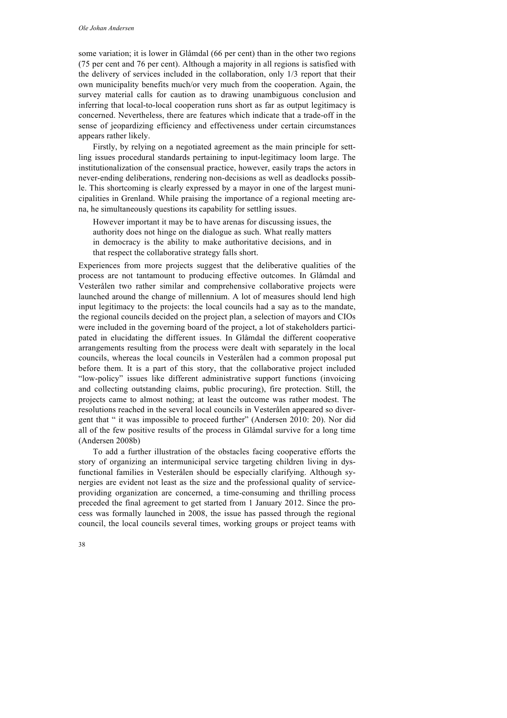some variation; it is lower in Glåmdal (66 per cent) than in the other two regions (75 per cent and 76 per cent). Although a majority in all regions is satisfied with the delivery of services included in the collaboration, only 1/3 report that their own municipality benefits much/or very much from the cooperation. Again, the survey material calls for caution as to drawing unambiguous conclusion and inferring that local-to-local cooperation runs short as far as output legitimacy is concerned. Nevertheless, there are features which indicate that a trade-off in the sense of jeopardizing efficiency and effectiveness under certain circumstances appears rather likely.

Firstly, by relying on a negotiated agreement as the main principle for settling issues procedural standards pertaining to input-legitimacy loom large. The institutionalization of the consensual practice, however, easily traps the actors in never-ending deliberations, rendering non-decisions as well as deadlocks possible. This shortcoming is clearly expressed by a mayor in one of the largest municipalities in Grenland. While praising the importance of a regional meeting arena, he simultaneously questions its capability for settling issues.

However important it may be to have arenas for discussing issues, the authority does not hinge on the dialogue as such. What really matters in democracy is the ability to make authoritative decisions, and in that respect the collaborative strategy falls short.

Experiences from more projects suggest that the deliberative qualities of the process are not tantamount to producing effective outcomes. In Glåmdal and Vesterålen two rather similar and comprehensive collaborative projects were launched around the change of millennium. A lot of measures should lend high input legitimacy to the projects: the local councils had a say as to the mandate, the regional councils decided on the project plan, a selection of mayors and CIOs were included in the governing board of the project, a lot of stakeholders participated in elucidating the different issues. In Glåmdal the different cooperative arrangements resulting from the process were dealt with separately in the local councils, whereas the local councils in Vesterålen had a common proposal put before them. It is a part of this story, that the collaborative project included "low-policy" issues like different administrative support functions (invoicing and collecting outstanding claims, public procuring), fire protection. Still, the projects came to almost nothing; at least the outcome was rather modest. The resolutions reached in the several local councils in Vesterålen appeared so divergent that " it was impossible to proceed further" (Andersen 2010: 20). Nor did all of the few positive results of the process in Glåmdal survive for a long time (Andersen 2008b)

To add a further illustration of the obstacles facing cooperative efforts the story of organizing an intermunicipal service targeting children living in dysfunctional families in Vesterålen should be especially clarifying. Although synergies are evident not least as the size and the professional quality of serviceproviding organization are concerned, a time-consuming and thrilling process preceded the final agreement to get started from 1 January 2012. Since the process was formally launched in 2008, the issue has passed through the regional council, the local councils several times, working groups or project teams with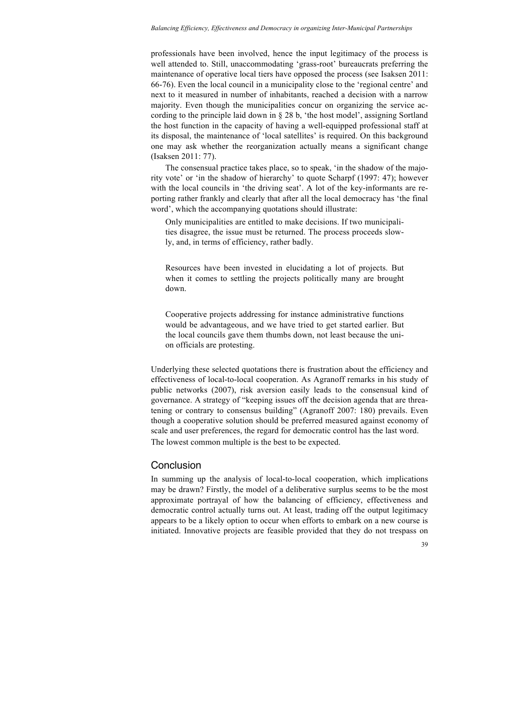professionals have been involved, hence the input legitimacy of the process is well attended to. Still, unaccommodating 'grass-root' bureaucrats preferring the maintenance of operative local tiers have opposed the process (see Isaksen 2011: 66-76). Even the local council in a municipality close to the 'regional centre' and next to it measured in number of inhabitants, reached a decision with a narrow majority. Even though the municipalities concur on organizing the service according to the principle laid down in § 28 b, 'the host model', assigning Sortland the host function in the capacity of having a well-equipped professional staff at its disposal, the maintenance of 'local satellites' is required. On this background one may ask whether the reorganization actually means a significant change (Isaksen 2011: 77).

The consensual practice takes place, so to speak, 'in the shadow of the majority vote' or 'in the shadow of hierarchy' to quote Scharpf (1997: 47); however with the local councils in 'the driving seat'. A lot of the key-informants are reporting rather frankly and clearly that after all the local democracy has 'the final word', which the accompanying quotations should illustrate:

Only municipalities are entitled to make decisions. If two municipalities disagree, the issue must be returned. The process proceeds slowly, and, in terms of efficiency, rather badly.

Resources have been invested in elucidating a lot of projects. But when it comes to settling the projects politically many are brought down.

Cooperative projects addressing for instance administrative functions would be advantageous, and we have tried to get started earlier. But the local councils gave them thumbs down, not least because the union officials are protesting.

Underlying these selected quotations there is frustration about the efficiency and effectiveness of local-to-local cooperation. As Agranoff remarks in his study of public networks (2007), risk aversion easily leads to the consensual kind of governance. A strategy of "keeping issues off the decision agenda that are threatening or contrary to consensus building" (Agranoff 2007: 180) prevails. Even though a cooperative solution should be preferred measured against economy of scale and user preferences, the regard for democratic control has the last word. The lowest common multiple is the best to be expected.

## **Conclusion**

In summing up the analysis of local-to-local cooperation, which implications may be drawn? Firstly, the model of a deliberative surplus seems to be the most approximate portrayal of how the balancing of efficiency, effectiveness and democratic control actually turns out. At least, trading off the output legitimacy appears to be a likely option to occur when efforts to embark on a new course is initiated. Innovative projects are feasible provided that they do not trespass on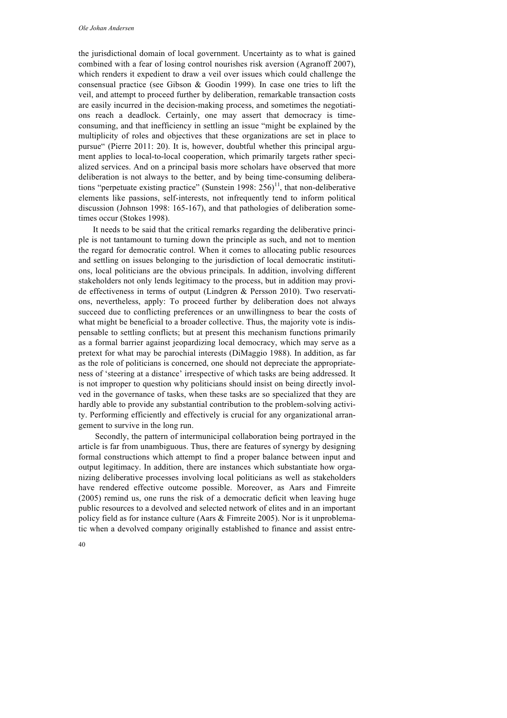the jurisdictional domain of local government. Uncertainty as to what is gained combined with a fear of losing control nourishes risk aversion (Agranoff 2007), which renders it expedient to draw a veil over issues which could challenge the consensual practice (see Gibson & Goodin 1999). In case one tries to lift the veil, and attempt to proceed further by deliberation, remarkable transaction costs are easily incurred in the decision-making process, and sometimes the negotiations reach a deadlock. Certainly, one may assert that democracy is timeconsuming, and that inefficiency in settling an issue "might be explained by the multiplicity of roles and objectives that these organizations are set in place to pursue" (Pierre 2011: 20). It is, however, doubtful whether this principal argument applies to local-to-local cooperation, which primarily targets rather specialized services. And on a principal basis more scholars have observed that more deliberation is not always to the better, and by being time-consuming deliberations "perpetuate existing practice" (Sunstein 1998:  $256$ )<sup>11</sup>, that non-deliberative elements like passions, self-interests, not infrequently tend to inform political discussion (Johnson 1998: 165-167), and that pathologies of deliberation sometimes occur (Stokes 1998).

It needs to be said that the critical remarks regarding the deliberative principle is not tantamount to turning down the principle as such, and not to mention the regard for democratic control. When it comes to allocating public resources and settling on issues belonging to the jurisdiction of local democratic institutions, local politicians are the obvious principals. In addition, involving different stakeholders not only lends legitimacy to the process, but in addition may provide effectiveness in terms of output (Lindgren & Persson 2010). Two reservations, nevertheless, apply: To proceed further by deliberation does not always succeed due to conflicting preferences or an unwillingness to bear the costs of what might be beneficial to a broader collective. Thus, the majority vote is indispensable to settling conflicts; but at present this mechanism functions primarily as a formal barrier against jeopardizing local democracy, which may serve as a pretext for what may be parochial interests (DiMaggio 1988). In addition, as far as the role of politicians is concerned, one should not depreciate the appropriateness of 'steering at a distance' irrespective of which tasks are being addressed. It is not improper to question why politicians should insist on being directly involved in the governance of tasks, when these tasks are so specialized that they are hardly able to provide any substantial contribution to the problem-solving activity. Performing efficiently and effectively is crucial for any organizational arrangement to survive in the long run.

Secondly, the pattern of intermunicipal collaboration being portrayed in the article is far from unambiguous. Thus, there are features of synergy by designing formal constructions which attempt to find a proper balance between input and output legitimacy. In addition, there are instances which substantiate how organizing deliberative processes involving local politicians as well as stakeholders have rendered effective outcome possible. Moreover, as Aars and Fimreite (2005) remind us, one runs the risk of a democratic deficit when leaving huge public resources to a devolved and selected network of elites and in an important policy field as for instance culture (Aars & Fimreite 2005). Nor is it unproblematic when a devolved company originally established to finance and assist entre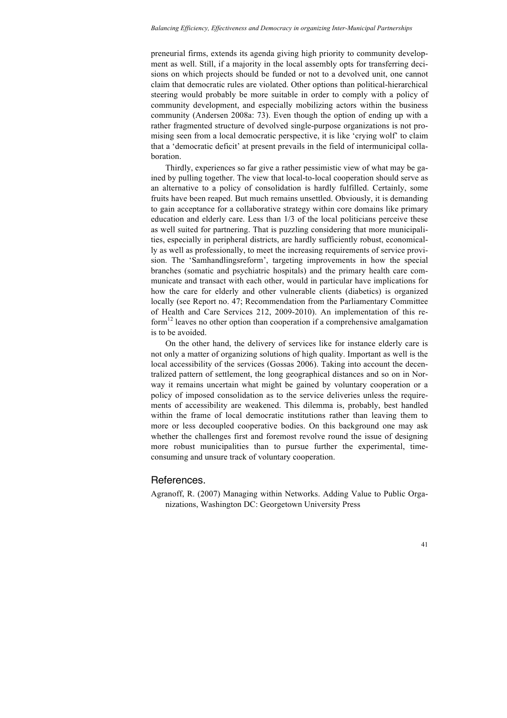preneurial firms, extends its agenda giving high priority to community development as well. Still, if a majority in the local assembly opts for transferring decisions on which projects should be funded or not to a devolved unit, one cannot claim that democratic rules are violated. Other options than political-hierarchical steering would probably be more suitable in order to comply with a policy of community development, and especially mobilizing actors within the business community (Andersen 2008a: 73). Even though the option of ending up with a rather fragmented structure of devolved single-purpose organizations is not promising seen from a local democratic perspective, it is like 'crying wolf' to claim that a 'democratic deficit' at present prevails in the field of intermunicipal collaboration.

Thirdly, experiences so far give a rather pessimistic view of what may be gained by pulling together. The view that local-to-local cooperation should serve as an alternative to a policy of consolidation is hardly fulfilled. Certainly, some fruits have been reaped. But much remains unsettled. Obviously, it is demanding to gain acceptance for a collaborative strategy within core domains like primary education and elderly care. Less than 1/3 of the local politicians perceive these as well suited for partnering. That is puzzling considering that more municipalities, especially in peripheral districts, are hardly sufficiently robust, economically as well as professionally, to meet the increasing requirements of service provision. The 'Samhandlingsreform', targeting improvements in how the special branches (somatic and psychiatric hospitals) and the primary health care communicate and transact with each other, would in particular have implications for how the care for elderly and other vulnerable clients (diabetics) is organized locally (see Report no. 47; Recommendation from the Parliamentary Committee of Health and Care Services 212, 2009-2010). An implementation of this reform<sup>12</sup> leaves no other option than cooperation if a comprehensive amalgamation is to be avoided.

On the other hand, the delivery of services like for instance elderly care is not only a matter of organizing solutions of high quality. Important as well is the local accessibility of the services (Gossas 2006). Taking into account the decentralized pattern of settlement, the long geographical distances and so on in Norway it remains uncertain what might be gained by voluntary cooperation or a policy of imposed consolidation as to the service deliveries unless the requirements of accessibility are weakened. This dilemma is, probably, best handled within the frame of local democratic institutions rather than leaving them to more or less decoupled cooperative bodies. On this background one may ask whether the challenges first and foremost revolve round the issue of designing more robust municipalities than to pursue further the experimental, timeconsuming and unsure track of voluntary cooperation.

#### References.

Agranoff, R. (2007) Managing within Networks. Adding Value to Public Organizations, Washington DC: Georgetown University Press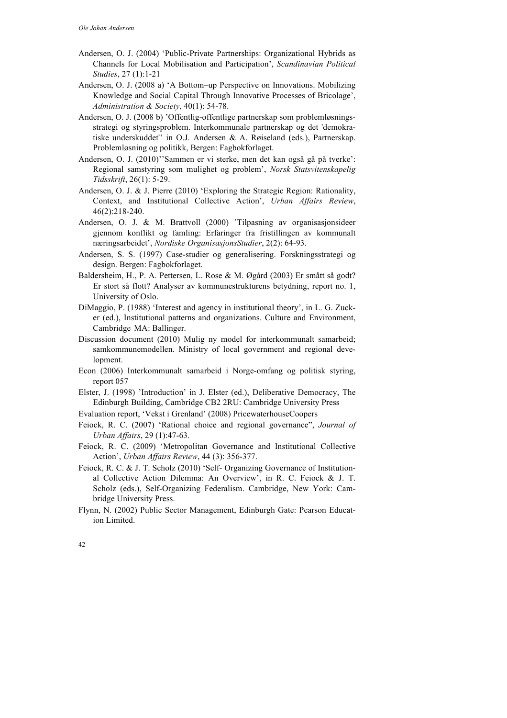- Andersen, O. J. (2004) 'Public-Private Partnerships: Organizational Hybrids as Channels for Local Mobilisation and Participation', *Scandinavian Political Studies*, 27 (1):1-21
- Andersen, O. J. (2008 a) 'A Bottom–up Perspective on Innovations. Mobilizing Knowledge and Social Capital Through Innovative Processes of Bricolage', *Administration & Society*, 40(1): 54-78.
- Andersen, O. J. (2008 b) 'Offentlig-offentlige partnerskap som problemløsningsstrategi og styringsproblem. Interkommunale partnerskap og det 'demokratiske underskuddet'' in O.J. Andersen & A. Røiseland (eds.), Partnerskap. Problemløsning og politikk, Bergen: Fagbokforlaget.
- Andersen, O. J. (2010)''Sammen er vi sterke, men det kan også gå på tverke': Regional samstyring som mulighet og problem', *Norsk Statsvitenskapelig Tidsskrift*, 26(1): 5-29.
- Andersen, O. J. & J. Pierre (2010) 'Exploring the Strategic Region: Rationality, Context, and Institutional Collective Action', *Urban Affairs Review*, 46(2):218-240.
- Andersen, O. J. & M. Brattvoll (2000) 'Tilpasning av organisasjonsideer gjennom konflikt og famling: Erfaringer fra fristillingen av kommunalt næringsarbeidet', *Nordiske OrganisasjonsStudier*, 2(2): 64-93.
- Andersen, S. S. (1997) Case-studier og generalisering. Forskningsstrategi og design. Bergen: Fagbokforlaget.
- Baldersheim, H., P. A. Pettersen, L. Rose & M. Øgård (2003) Er smått så godt? Er stort så flott? Analyser av kommunestrukturens betydning, report no. 1, University of Oslo.
- DiMaggio, P. (1988) 'Interest and agency in institutional theory', in L. G. Zucker (ed.), Institutional patterns and organizations. Culture and Environment, Cambridge MA: Ballinger.
- Discussion document (2010) Mulig ny model for interkommunalt samarbeid; samkommunemodellen. Ministry of local government and regional development.
- Econ (2006) Interkommunalt samarbeid i Norge-omfang og politisk styring, report 057
- Elster, J. (1998) 'Introduction' in J. Elster (ed.), Deliberative Democracy, The Edinburgh Building, Cambridge CB2 2RU: Cambridge University Press

Evaluation report, 'Vekst i Grenland' (2008) PricewaterhouseCoopers

- Feiock, R. C. (2007) 'Rational choice and regional governance", *Journal of Urban Affairs*, 29 (1):47-63.
- Feiock, R. C. (2009) 'Metropolitan Governance and Institutional Collective Action', *Urban Affairs Review*, 44 (3): 356-377.
- Feiock, R. C. & J. T. Scholz (2010) 'Self- Organizing Governance of Institutional Collective Action Dilemma: An Overview', in R. C. Feiock & J. T. Scholz (eds.), Self-Organizing Federalism. Cambridge, New York: Cambridge University Press.
- Flynn, N. (2002) Public Sector Management, Edinburgh Gate: Pearson Education Limited.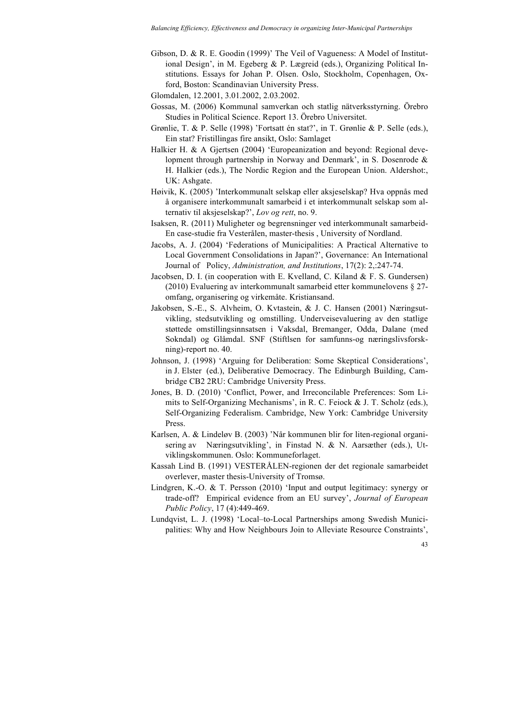Gibson, D. & R. E. Goodin (1999)' The Veil of Vagueness: A Model of Institutional Design', in M. Egeberg & P. Lægreid (eds.), Organizing Political Institutions. Essays for Johan P. Olsen. Oslo, Stockholm, Copenhagen, Oxford, Boston: Scandinavian University Press.

Glomdalen, 12.2001, 3.01.2002, 2.03.2002.

- Gossas, M. (2006) Kommunal samverkan och statlig nätverksstyrning. Örebro Studies in Political Science. Report 13. Örebro Universitet.
- Grønlie, T. & P. Selle (1998) 'Fortsatt én stat?', in T. Grønlie & P. Selle (eds.), Ein stat? Fristillingas fire ansikt, Oslo: Samlaget
- Halkier H. & A Gjertsen (2004) 'Europeanization and beyond: Regional development through partnership in Norway and Denmark', in S. Dosenrode & H. Halkier (eds.), The Nordic Region and the European Union. Aldershot:, UK: Ashgate.
- Høivik, K. (2005) 'Interkommunalt selskap eller aksjeselskap? Hva oppnås med å organisere interkommunalt samarbeid i et interkommunalt selskap som alternativ til aksjeselskap?', *Lov og rett*, no. 9.
- Isaksen, R. (2011) Muligheter og begrensninger ved interkommunalt samarbeid-En case-studie fra Vesterålen, master-thesis , University of Nordland.
- Jacobs, A. J. (2004) 'Federations of Municipalities: A Practical Alternative to Local Government Consolidations in Japan?', Governance: An International Journal of Policy, *Administration, and Institutions*, 17(2): 2,:247-74.
- Jacobsen, D. I. (in cooperation with E. Kvelland, C. Kiland & F. S. Gundersen) (2010) Evaluering av interkommunalt samarbeid etter kommunelovens § 27 omfang, organisering og virkemåte. Kristiansand.
- Jakobsen, S.-E., S. Alvheim, O. Kvtastein, & J. C. Hansen (2001) Næringsutvikling, stedsutvikling og omstilling. Underveisevaluering av den statlige støttede omstillingsinnsatsen i Vaksdal, Bremanger, Odda, Dalane (med Sokndal) og Glåmdal. SNF (Stiftlsen for samfunns-og næringslivsforskning)-report no. 40.
- Johnson, J. (1998) 'Arguing for Deliberation: Some Skeptical Considerations', in J. Elster (ed.), Deliberative Democracy. The Edinburgh Building, Cambridge CB2 2RU: Cambridge University Press.
- Jones, B. D. (2010) 'Conflict, Power, and Irreconcilable Preferences: Som Limits to Self-Organizing Mechanisms', in R. C. Feiock & J. T. Scholz (eds.), Self-Organizing Federalism. Cambridge, New York: Cambridge University Press.
- Karlsen, A. & Lindeløv B. (2003) 'Når kommunen blir for liten-regional organisering av Næringsutvikling', in Finstad N. & N. Aarsæther (eds.), Utviklingskommunen. Oslo: Kommuneforlaget.
- Kassah Lind B. (1991) VESTERÅLEN-regionen der det regionale samarbeidet overlever, master thesis-University of Tromsø.
- Lindgren, K.-O. & T. Persson (2010) 'Input and output legitimacy: synergy or trade-off? Empirical evidence from an EU survey', *Journal of European Public Policy*, 17 (4):449-469.
- Lundqvist, L. J. (1998) 'Local–to-Local Partnerships among Swedish Municipalities: Why and How Neighbours Join to Alleviate Resource Constraints',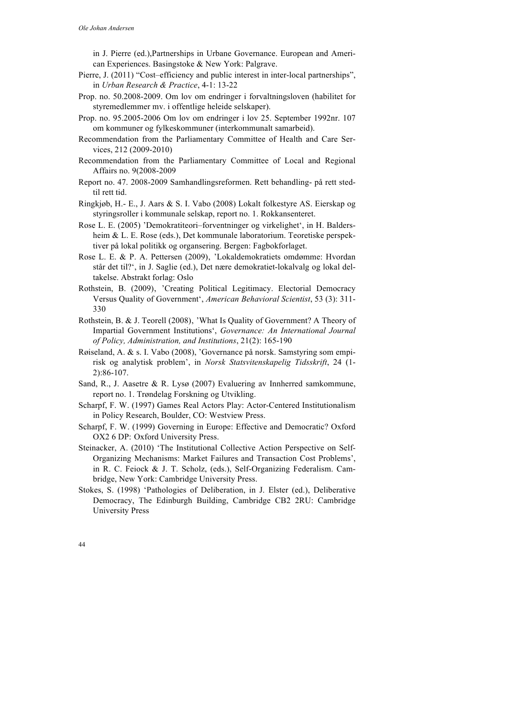in J. Pierre (ed.),Partnerships in Urbane Governance. European and American Experiences. Basingstoke & New York: Palgrave.

- Pierre, J. (2011) "Cost–efficiency and public interest in inter-local partnerships", in *Urban Research & Practice*, 4-1: 13-22
- Prop. no. 50.2008-2009. Om lov om endringer i forvaltningsloven (habilitet for styremedlemmer mv. i offentlige heleide selskaper).
- Prop. no. 95.2005-2006 Om lov om endringer i lov 25. September 1992nr. 107 om kommuner og fylkeskommuner (interkommunalt samarbeid).
- Recommendation from the Parliamentary Committee of Health and Care Services, 212 (2009-2010)
- Recommendation from the Parliamentary Committee of Local and Regional Affairs no. 9(2008-2009
- Report no. 47. 2008-2009 Samhandlingsreformen. Rett behandling- på rett stedtil rett tid.
- Ringkjøb, H.- E., J. Aars & S. I. Vabo (2008) Lokalt folkestyre AS. Eierskap og styringsroller i kommunale selskap, report no. 1. Rokkansenteret.
- Rose L. E. (2005) 'Demokratiteori–forventninger og virkelighet', in H. Baldersheim & L. E. Rose (eds.), Det kommunale laboratorium. Teoretiske perspektiver på lokal politikk og organsering. Bergen: Fagbokforlaget.
- Rose L. E. & P. A. Pettersen (2009), 'Lokaldemokratiets omdømme: Hvordan står det til?', in J. Saglie (ed.), Det nære demokratiet-lokalvalg og lokal deltakelse. Abstrakt forlag: Oslo
- Rothstein, B. (2009), 'Creating Political Legitimacy. Electorial Democracy Versus Quality of Government', *American Behavioral Scientist*, 53 (3): 311- 330
- Rothstein, B. & J. Teorell (2008), 'What Is Quality of Government? A Theory of Impartial Government Institutions', *Governance: An International Journal of Policy, Administration, and Institutions*, 21(2): 165-190
- Røiseland, A. & s. I. Vabo (2008), 'Governance på norsk. Samstyring som empirisk og analytisk problem', in *Norsk Statsvitenskapelig Tidsskrift*, 24 (1- 2):86-107.
- Sand, R., J. Aasetre & R. Lysø (2007) Evaluering av Innherred samkommune, report no. 1. Trøndelag Forskning og Utvikling.
- Scharpf, F. W. (1997) Games Real Actors Play: Actor-Centered Institutionalism in Policy Research, Boulder, CO: Westview Press.
- Scharpf, F. W. (1999) Governing in Europe: Effective and Democratic? Oxford OX2 6 DP: Oxford University Press.
- Steinacker, A. (2010) 'The Institutional Collective Action Perspective on Self-Organizing Mechanisms: Market Failures and Transaction Cost Problems', in R. C. Feiock & J. T. Scholz, (eds.), Self-Organizing Federalism. Cambridge, New York: Cambridge University Press.
- Stokes, S. (1998) 'Pathologies of Deliberation, in J. Elster (ed.), Deliberative Democracy, The Edinburgh Building, Cambridge CB2 2RU: Cambridge University Press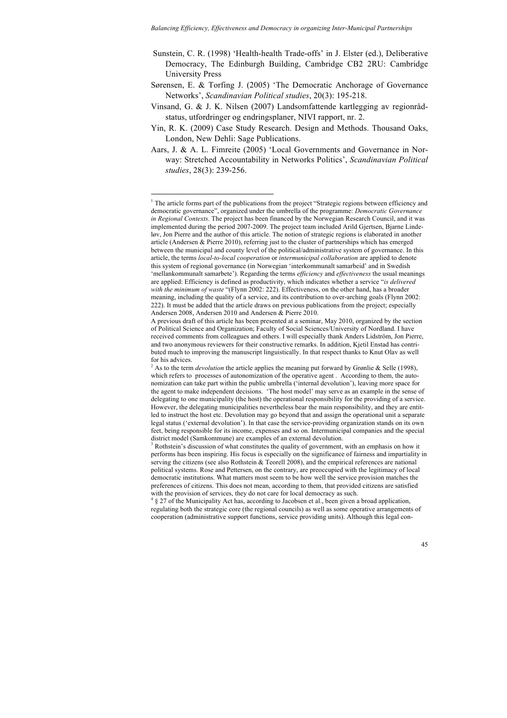- Sunstein, C. R. (1998) 'Health-health Trade-offs' in J. Elster (ed.), Deliberative Democracy, The Edinburgh Building, Cambridge CB2 2RU: Cambridge University Press
- Sørensen, E. & Torfing J. (2005) 'The Democratic Anchorage of Governance Networks', *Scandinavian Political studies*, 20(3): 195-218.
- Vinsand, G. & J. K. Nilsen (2007) Landsomfattende kartlegging av regionrådstatus, utfordringer og endringsplaner, NIVI rapport, nr. 2.
- Yin, R. K. (2009) Case Study Research. Design and Methods. Thousand Oaks, London, New Dehli: Sage Publications.
- Aars, J. & A. L. Fimreite (2005) 'Local Governments and Governance in Norway: Stretched Accountability in Networks Politics', *Scandinavian Political studies*, 28(3): 239-256.

<sup>&</sup>lt;sup>1</sup> The article forms part of the publications from the project "Strategic regions between efficiency and democratic governance", organized under the umbrella of the programme: *Democratic Governance in Regional Contexts*. The project has been financed by the Norwegian Research Council, and it was implemented during the period 2007-2009. The project team included Arild Gjertsen, Bjarne Lindeløv, Jon Pierre and the author of this article. The notion of strategic regions is elaborated in another article (Andersen & Pierre 2010), referring just to the cluster of partnerships which has emerged between the municipal and county level of the political/administrative system of governance. In this article, the terms *local-to-local cooperation* or *intermunicipal collaboration* are applied to denote this system of regional governance (in Norwegian 'interkommunalt samarbeid' and in Swedish 'mellankommunalt samarbete'). Regarding the terms *efficiency* and *effectiveness* the usual meanings are applied: Efficiency is defined as productivity, which indicates whether a service "*is delivered*  with the minimum of waste "(Flynn 2002: 222). Effectiveness, on the other hand, has a broader meaning, including the quality of a service, and its contribution to over-arching goals (Flynn 2002: 222). It must be added that the article draws on previous publications from the project; especially Andersen 2008, Andersen 2010 and Andersen & Pierre 2010.

A previous draft of this article has been presented at a seminar, May 2010, organized by the section of Political Science and Organization; Faculty of Social Sciences/University of Nordland. I have received comments from colleagues and others. I will especially thank Anders Lidström, Jon Pierre, and two anonymous reviewers for their constructive remarks. In addition, Kjetil Enstad has contributed much to improving the manuscript linguistically. In that respect thanks to Knut Olav as well for his advices.

<sup>2</sup> As to the term *devolution* the article applies the meaning put forward by Grønlie & Selle (1998), which refers to processes of autonomization of the operative agent . According to them, the autonomization can take part within the public umbrella ('internal devolution'), leaving more space for the agent to make independent decisions. 'The host model' may serve as an example in the sense of delegating to one municipality (the host) the operational responsibility for the providing of a service. However, the delegating municipalities nevertheless bear the main responsibility, and they are entitled to instruct the host etc. Devolution may go beyond that and assign the operational unit a separate legal status ('external devolution'). In that case the service-providing organization stands on its own feet, being responsible for its income, expenses and so on. Intermunicipal companies and the special district model (Samkommune) are examples of an external devolution.

<sup>&</sup>lt;sup>3</sup> Rothstein's discussion of what constitutes the quality of government, with an emphasis on how it performs has been inspiring. His focus is especially on the significance of fairness and impartiality in serving the citizens (see also Rothstein  $\&$  Teorell 2008), and the empirical references are national political systems. Rose and Pettersen, on the contrary, are preoccupied with the legitimacy of local democratic institutions. What matters most seem to be how well the service provision matches the preferences of citizens. This does not mean, according to them, that provided citizens are satisfied with the provision of services, they do not care for local democracy as such.

<sup>&</sup>lt;sup>4</sup> § 27 of the Municipality Act has, according to Jacobsen et al., been given a broad application, regulating both the strategic core (the regional councils) as well as some operative arrangements of cooperation (administrative support functions, service providing units). Although this legal con-